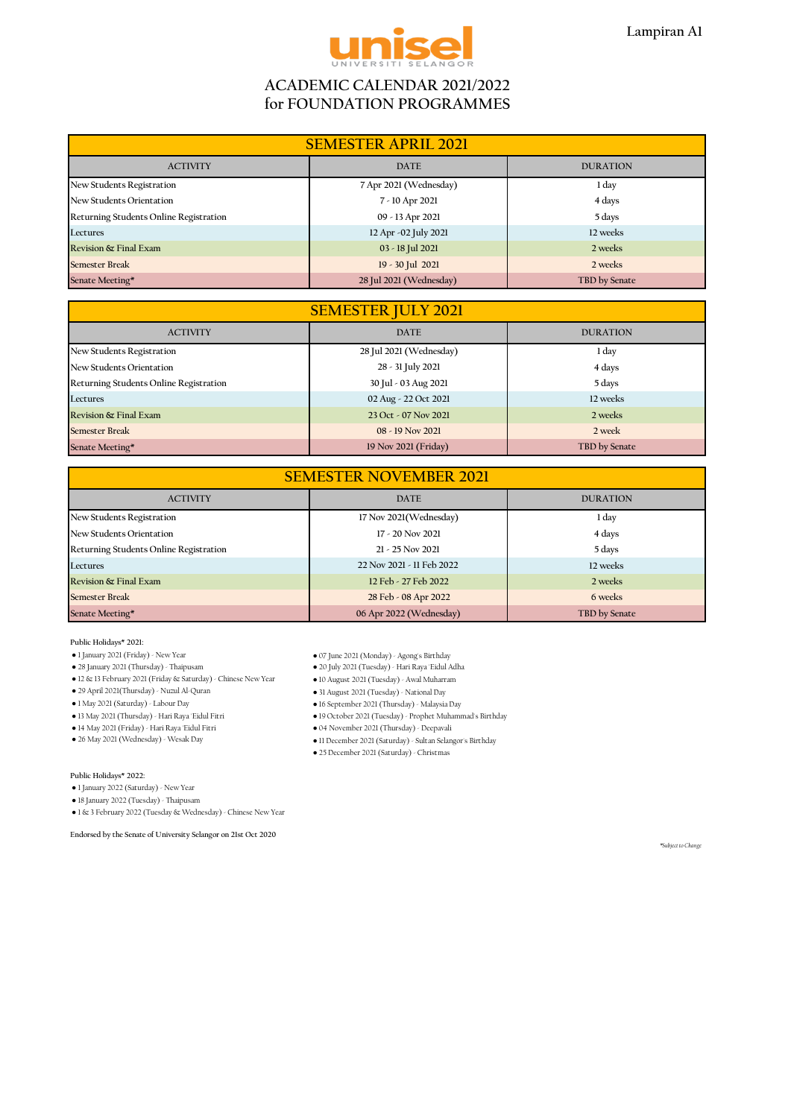

## **ACADEMIC CALENDAR 2021/2022 for FOUNDATION PROGRAMMES**

| <b>SEMESTER APRIL 2021</b>             |                         |                 |
|----------------------------------------|-------------------------|-----------------|
| <b>ACTIVITY</b>                        | <b>DATE</b>             | <b>DURATION</b> |
| New Students Registration              | 7 Apr 2021 (Wednesday)  | 1 day           |
| New Students Orientation               | 7 - 10 Apr 2021         | 4 days          |
| Returning Students Online Registration | 09 - 13 Apr 2021        | 5 days          |
| Lectures                               | 12 Apr -02 July 2021    | 12 weeks        |
| Revision & Final Exam                  | 03 - 18 Jul 2021        | 2 weeks         |
| <b>Semester Break</b>                  | 19 - 30 Jul 2021        | 2 weeks         |
| Senate Meeting*                        | 28 Jul 2021 (Wednesday) | TBD by Senate   |

| <b>SEMESTER JULY 2021</b>              |                         |                 |
|----------------------------------------|-------------------------|-----------------|
| <b>ACTIVITY</b>                        | <b>DATE</b>             | <b>DURATION</b> |
| New Students Registration              | 28 Jul 2021 (Wednesday) | 1 day           |
| New Students Orientation               | 28 - 31 July 2021       | 4 days          |
| Returning Students Online Registration | 30 Jul - 03 Aug 2021    | 5 days          |
| Lectures                               | 02 Aug - 22 Oct 2021    | 12 weeks        |
| Revision & Final Exam                  | 23 Oct - 07 Nov 2021    | 2 weeks         |
| <b>Semester Break</b>                  | 08 - 19 Nov 2021        | 2 week          |
| Senate Meeting*                        | 19 Nov 2021 (Friday)    | TBD by Senate   |

| <b>SEMESTER NOVEMBER 2021</b>          |                           |                 |  |
|----------------------------------------|---------------------------|-----------------|--|
| <b>ACTIVITY</b>                        | <b>DATE</b>               | <b>DURATION</b> |  |
| New Students Registration              | 17 Nov 2021 (Wednesday)   | 1 day           |  |
| New Students Orientation               | $17 - 20$ Nov $2021$      | 4 days          |  |
| Returning Students Online Registration | $21 - 25$ Nov 2021        | 5 days          |  |
| Lectures                               | 22 Nov 2021 - 11 Feb 2022 | 12 weeks        |  |
| Revision & Final Exam                  | 12 Feb - 27 Feb 2022      | 2 weeks         |  |
| <b>Semester Break</b>                  | 28 Feb - 08 Apr 2022      | 6 weeks         |  |
| Senate Meeting*                        | 06 Apr 2022 (Wednesday)   | TBD by Senate   |  |

**Public Holidays\* 2021:**

- 
- 12 & 13 February 2021 (Friday & Saturday) Chinese New Year 10 August 2021 (Tuesday) Awal Muharram
- 
- 
- 
- 
- 14 May 2021 (Friday) Hari Raya 'Eidul Fitri 04 November 2021 (Thursday) Deepavali
- 

### **Public Holidays\* 2022:**

● 1 January 2022 (Saturday) - New Year

● 18 January 2022 (Tuesday) - Thaipusam

● 1 & 3 February 2022 (Tuesday & Wednesday) - Chinese New Year

**Endorsed by the Senate of University Selangor on 21st Oct 2020**

- 
- 1 January 2021 (Friday) New Year 07 June 2021 (Monday) Agong's Birthday ● 28 January 2021 (Thursday) - Thaipusam ● 20 July 2021 (Tuesday) - Hari Raya 'Eidul Adha
	-
- 29 April 2021(Thursday) Nuzul Al-Quran 31 August 2021 (Tuesday) National Day
- 1 May 2021 (Saturday) Labour Day 16 September 2021 (Thursday) Malaysia Day
- 13 May 2021 (Thursday) Hari Raya 'Eidul Fitri 19 October 2021 (Tuesday) Prophet Muhammad's Birthday
	-
- 26 May 2021 (Wednesday) Wesak Day <br>● 11 December 2021 (Saturday) Sultan Selangor's Birthday
	- 25 December 2021 (Saturday) Christmas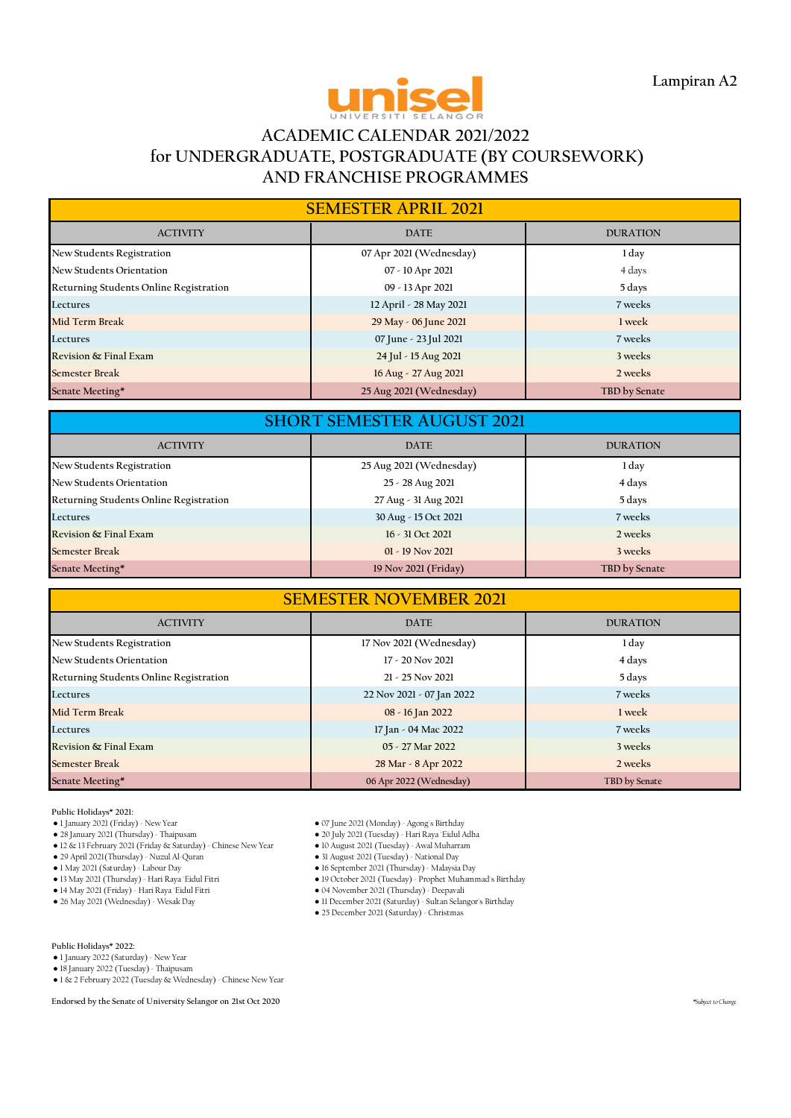

# **ACADEMIC CALENDAR 2021/2022 for UNDERGRADUATE, POSTGRADUATE (BY COURSEWORK) AND FRANCHISE PROGRAMMES**

| <b>SEMESTER APRIL 2021</b>             |                         |                 |
|----------------------------------------|-------------------------|-----------------|
| <b>ACTIVITY</b>                        | <b>DATE</b>             | <b>DURATION</b> |
| New Students Registration              | 07 Apr 2021 (Wednesday) | 1 day           |
| New Students Orientation               | 07 - 10 Apr 2021        | 4 days          |
| Returning Students Online Registration | 09 - 13 Apr 2021        | 5 days          |
| Lectures                               | 12 April - 28 May 2021  | 7 weeks         |
| Mid Term Break                         | 29 May - 06 June 2021   | 1 week          |
| Lectures                               | 07 June - 23 Jul 2021   | 7 weeks         |
| Revision & Final Exam                  | 24 Jul - 15 Aug 2021    | 3 weeks         |
| <b>Semester Break</b>                  | 16 Aug - 27 Aug 2021    | 2 weeks         |
| Senate Meeting*                        | 25 Aug 2021 (Wednesday) | TBD by Senate   |

| <b>SHORT SEMESTER AUGUST 2021</b>      |                         |                 |  |
|----------------------------------------|-------------------------|-----------------|--|
| <b>ACTIVITY</b>                        | <b>DATE</b>             | <b>DURATION</b> |  |
| <b>New Students Registration</b>       | 25 Aug 2021 (Wednesday) | 1 day           |  |
| New Students Orientation               | 25 - 28 Aug 2021        | 4 days          |  |
| Returning Students Online Registration | 27 Aug - 31 Aug 2021    | 5 days          |  |
| Lectures                               | 30 Aug - 15 Oct 2021    | 7 weeks         |  |
| Revision & Final Exam                  | $16 - 31$ Oct 2021      | 2 weeks         |  |
| <b>Semester Break</b>                  | $01 - 19$ Nov 2021      | 3 weeks         |  |
| Senate Meeting*                        | 19 Nov 2021 (Friday)    | TBD by Senate   |  |

| <b>SEMESTER NOVEMBER 2021</b>          |                           |                 |  |
|----------------------------------------|---------------------------|-----------------|--|
| <b>ACTIVITY</b>                        | <b>DATE</b>               | <b>DURATION</b> |  |
| New Students Registration              | 17 Nov 2021 (Wednesday)   | 1 day           |  |
| New Students Orientation               | 17 - 20 Nov 2021          | 4 days          |  |
| Returning Students Online Registration | $21 - 25$ Nov 2021        | 5 days          |  |
| Lectures                               | 22 Nov 2021 - 07 Jan 2022 | 7 weeks         |  |
| Mid Term Break                         | 08 - 16 Jan 2022          | 1 week          |  |
| Lectures                               | 17 Jan - 04 Mac 2022      | 7 weeks         |  |
| Revision & Final Exam                  | 05 - 27 Mar 2022          | 3 weeks         |  |
| <b>Semester Break</b>                  | 28 Mar - 8 Apr 2022       | 2 weeks         |  |
| Senate Meeting*                        | 06 Apr 2022 (Wednesday)   | TBD by Senate   |  |

- **Public Holidays\* 2021:**
- 
- 12 & 13 February 2021 (Friday & Saturday) Chinese New Year 10 August 2021 (Tuesday) Awal Muharram
- 29 April 2021(Thursday) Nuzul Al-Quran<br>● 1 May 2021 (Saturday) Labour Day
- 
- 
- 14 May 2021 (Friday) Hari Raya 'Eidul Fitri<br>● 26 May 2021 (Wednesday) Wesak Day
- 
- 
- 1 January 2021 (Friday) New Year 07 June 2021 (Monday) Agong's Birthday ● 20 July 2021 (Tuesday) - Hari Raya 'Eidul Adha<br>● 10 August 2021 (Tuesday) - Awal Muharram
	-
	-
- 1 May 2021 (Saturday) Labour Day 16 September 2021 (Thursday) Malaysia Day
	- 19 October 2021 (Tuesday) Prophet Muhammad's Birthday<br>● 04 November 2021 (Thursday) Deepavali
	- - 11 December 2021 (Saturday) Sultan Selangor's Birthday ● 25 December 2021 (Saturday) - Christmas
		-

**Public Holidays\* 2022:**

- 1 January 2022 (Saturday) New Year
- 18 January 2022 (Tuesday) Thaipusam
- 1 & 2 February 2022 (Tuesday & Wednesday) Chinese New Year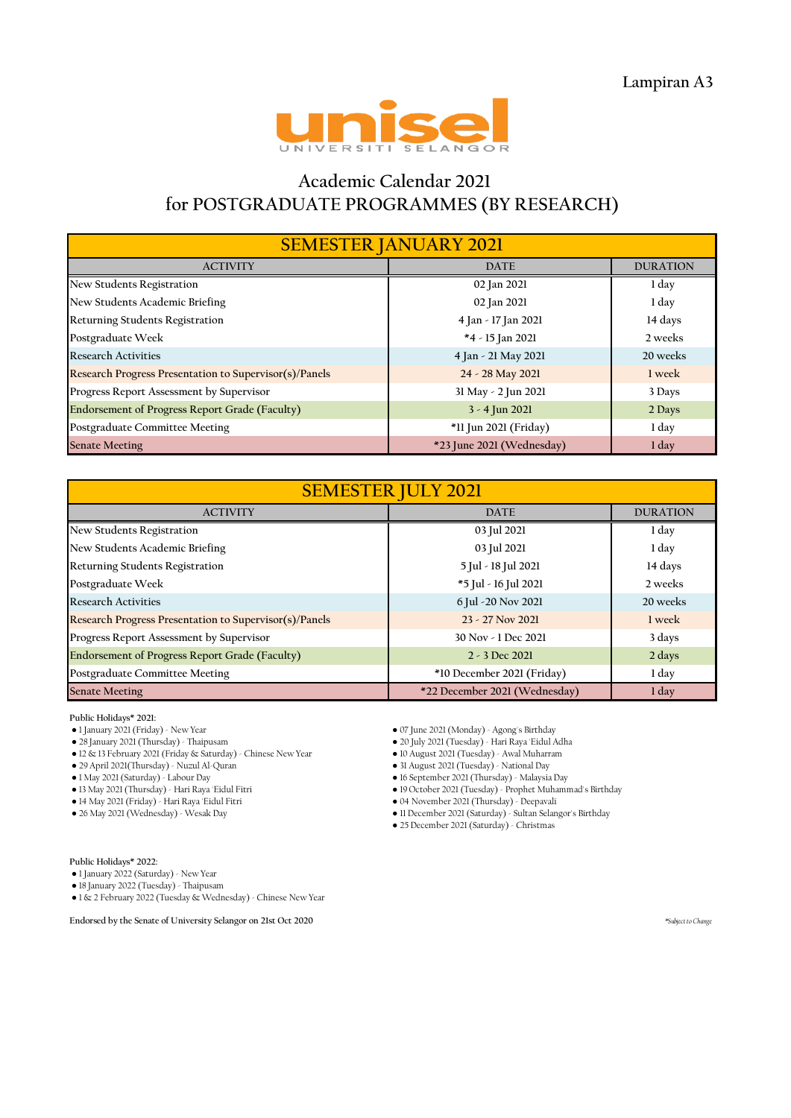

# **Academic Calendar 2021 for POSTGRADUATE PROGRAMMES (BY RESEARCH)**

| <b>SEMESTER JANUARY 2021</b>                           |                           |                 |  |
|--------------------------------------------------------|---------------------------|-----------------|--|
| <b>ACTIVITY</b>                                        | <b>DATE</b>               | <b>DURATION</b> |  |
| New Students Registration                              | 02 Jan 2021               | 1 day           |  |
| New Students Academic Briefing                         | 02 Jan 2021               | 1 day           |  |
| Returning Students Registration                        | 4 Jan - 17 Jan 2021       | 14 days         |  |
| Postgraduate Week                                      | *4 - 15 Jan 2021          | 2 weeks         |  |
| <b>Research Activities</b>                             | 4 Jan - 21 May 2021       | 20 weeks        |  |
| Research Progress Presentation to Supervisor(s)/Panels | 24 - 28 May 2021          | 1 week          |  |
| Progress Report Assessment by Supervisor               | 31 May - 2 Jun 2021       | 3 Days          |  |
| Endorsement of Progress Report Grade (Faculty)         | $3 - 4$ Jun 2021          | 2 Days          |  |
| Postgraduate Committee Meeting                         | *11 Jun 2021 (Friday)     | 1 day           |  |
| <b>Senate Meeting</b>                                  | *23 June 2021 (Wednesday) | 1 day           |  |

| <b>SEMESTER JULY 2021</b>                              |                               |                 |  |
|--------------------------------------------------------|-------------------------------|-----------------|--|
| <b>ACTIVITY</b>                                        | <b>DATE</b>                   | <b>DURATION</b> |  |
| New Students Registration                              | 03 Jul 2021                   | 1 day           |  |
| New Students Academic Briefing                         | 03 Jul 2021                   | 1 day           |  |
| Returning Students Registration                        | 5 Jul - 18 Jul 2021           | 14 days         |  |
| Postgraduate Week                                      | *5 Jul - 16 Jul 2021          | 2 weeks         |  |
| <b>Research Activities</b>                             | 6 Jul - 20 Nov 2021           | 20 weeks        |  |
| Research Progress Presentation to Supervisor(s)/Panels | 23 - 27 Nov 2021              | 1 week          |  |
| Progress Report Assessment by Supervisor               | 30 Nov - 1 Dec 2021           | 3 days          |  |
| Endorsement of Progress Report Grade (Faculty)         | $2 - 3$ Dec 2021              | 2 days          |  |
| Postgraduate Committee Meeting                         | *10 December 2021 (Friday)    | 1 day           |  |
| <b>Senate Meeting</b>                                  | *22 December 2021 (Wednesday) | 1 day           |  |

**Public Holidays\* 2021:**

- 
- 
- 12 & 13 February 2021 (Friday & Saturday) Chinese New Year 10 August 2021 (Tuesday) Awal Muharram

● 29 April 2021(Thursday) - Nuzul Al-Quran<br>● 1 May 2021 (Saturday) - Labour Day

- 
- 14 May 2021 (Friday) Hari Raya 'Eidul Fitri 04 November 2021 (Thursday) Deepavali

- 1 January 2021 (Friday) New Year 07 June 2021 (Monday) Agong's Birthday
	- 20 July 2021 (Tuesday) Hari Raya 'Eidul Adha<br>● 10 August 2021 (Tuesday) Awal Muharram

● 1 May 2021 (Saturday) - Labour Day ● 16 September 2021 (Thursday) - Malaysia Day ● 13 May 2021 (Thursday) - Hari Raya 'Eidul Fitri ● 19 October 2021 (Tuesday) - Prophet Muhammad's Birthday

● 11 December 2021 (Saturday) - Sultan Selangor's Birthday

● 25 December 2021 (Saturday) - Christmas

**Public Holidays\* 2022:**

● 1 January 2022 (Saturday) - New Year

● 18 January 2022 (Tuesday) - Thaipusam

● 1 & 2 February 2022 (Tuesday & Wednesday) - Chinese New Year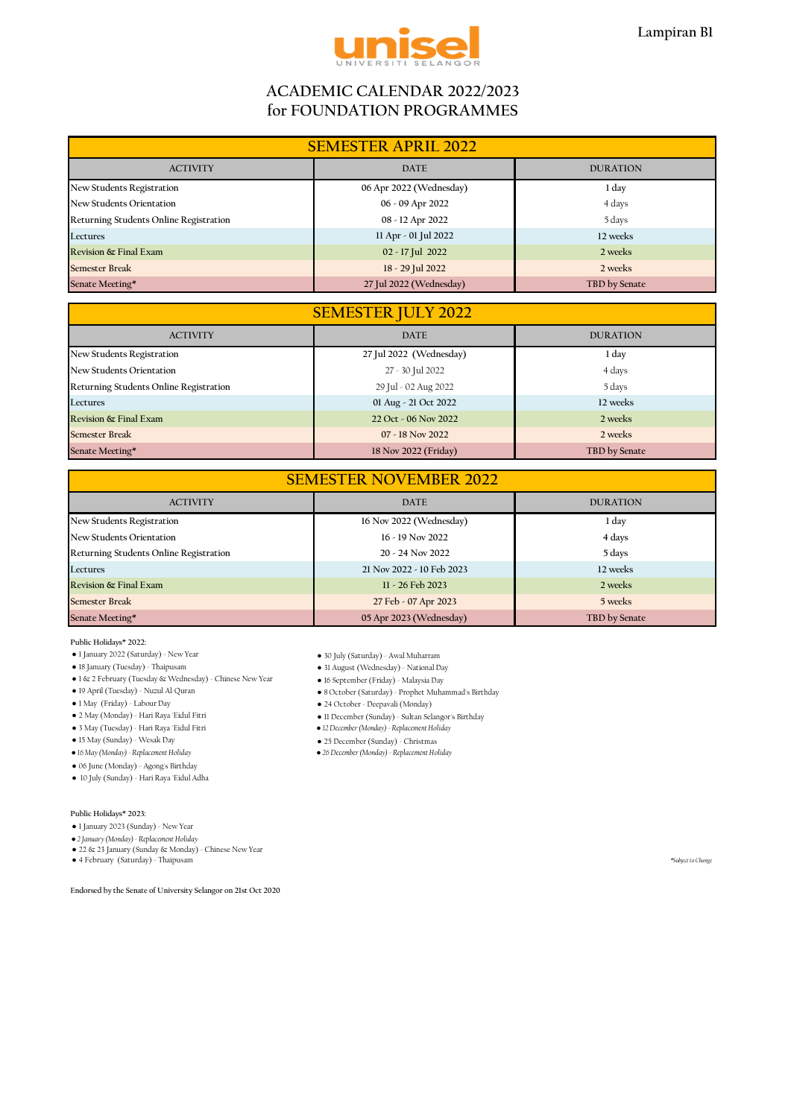

## **ACADEMIC CALENDAR 2022/2023 for FOUNDATION PROGRAMMES**

| <b>SEMESTER APRIL 2022</b>             |                         |                 |  |
|----------------------------------------|-------------------------|-----------------|--|
| <b>ACTIVITY</b>                        | <b>DATE</b>             | <b>DURATION</b> |  |
| New Students Registration              | 06 Apr 2022 (Wednesday) | 1 day           |  |
| New Students Orientation               | 06 - 09 Apr 2022        | 4 days          |  |
| Returning Students Online Registration | 08 - 12 Apr 2022        | 5 days          |  |
| Lectures                               | 11 Apr - 01 Jul 2022    | 12 weeks        |  |
| Revision & Final Exam                  | 02 - 17 Jul 2022        | 2 weeks         |  |
| <b>Semester Break</b>                  | 18 - 29 Jul 2022        | 2 weeks         |  |
| Senate Meeting*                        | 27 Jul 2022 (Wednesday) | TBD by Senate   |  |

| <b>SEMESTER JULY 2022</b>              |                         |                 |
|----------------------------------------|-------------------------|-----------------|
| <b>ACTIVITY</b>                        | <b>DATE</b>             | <b>DURATION</b> |
| New Students Registration              | 27 Jul 2022 (Wednesday) | 1 day           |
| New Students Orientation               | 27 - 30 Jul 2022        | 4 days          |
| Returning Students Online Registration | 29 Jul - 02 Aug 2022    | 5 days          |
| Lectures                               | 01 Aug - 21 Oct 2022    | 12 weeks        |
| Revision & Final Exam                  | 22 Oct - 06 Nov 2022    | 2 weeks         |
| <b>Semester Break</b>                  | 07 - 18 Nov 2022        | 2 weeks         |
| Senate Meeting*                        | 18 Nov 2022 (Friday)    | TBD by Senate   |

### **SEMESTER NOVEMBER 2022**

| <b>ACTIVITY</b>                        | <b>DATE</b>               | <b>DURATION</b> |
|----------------------------------------|---------------------------|-----------------|
| New Students Registration              | 16 Nov 2022 (Wednesday)   | 1 day           |
| New Students Orientation               | $16 - 19$ Nov 2022        | 4 days          |
| Returning Students Online Registration | $20 - 24$ Nov 2022        | 5 days          |
| Lectures                               | 21 Nov 2022 - 10 Feb 2023 | 12 weeks        |
| Revision & Final Exam                  | 11 - 26 Feb 2023          | 2 weeks         |
| <b>Semester Break</b>                  | 27 Feb - 07 Apr 2023      | 5 weeks         |
| Senate Meeting*                        | 05 Apr 2023 (Wednesday)   | TBD by Senate   |

 $\bullet$  8 October (Saturday) - Prophet Muhammad's Birthday

● 11 December (Sunday) - Sultan Selangor's Birthday<br>● 12 December (Monday) - Replacement Holiday

*● 16 May (Monday) - Replacement Holiday ● 26 December (Monday) - Replacement Holiday*

**Public Holidays\* 2022:**

● 1 January 2022 (Saturday) - New Year ● 30 July (Saturday) - Awal Muharram

● 18 January (Tuesday) - Thaipusam ● 31 August (Wednesday) - National Day

● 1 & 2 February (Tuesday & Wednesday) - Chinese New Year ● 16 September (Friday) - Malaysia Day

- 
- 
- 1 May (Friday) Labour Day 24 October Deepavali (Monday)

● 3 May (Tuesday) - Hari Raya 'Eidul Fitri *● 12 December (Monday) - Replacement Holiday*

● 15 May (Sunday) - Wesak Day <br>● 16 May (Monday) - Replacement Holiday ● 25 December (Monday) - Replacement Ho

● 06 June (Monday) - Agong's Birthday

● 10 July (Sunday) - Hari Raya 'Eidul Adha

**Public Holidays\* 2023:**

● 1 January 2023 (Sunday) - New Year

*● 2 January (Monday) - Replacement Holiday*

● 22 & 23 January (Sunday & Monday) - Chinese New Year

● 4 February (Saturday) - Thaipusam *\*Subject to Change* 

**Endorsed by the Senate of University Selangor on 21st Oct 2020**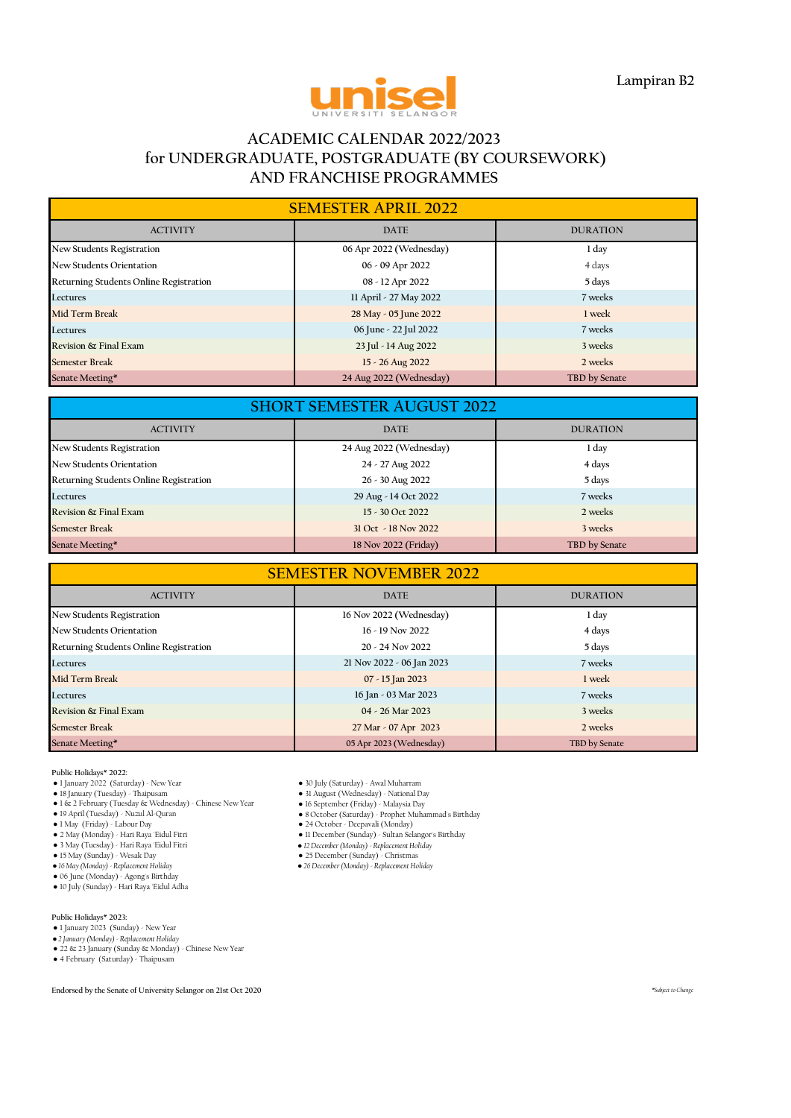

## **ACADEMIC CALENDAR 2022/2023 for UNDERGRADUATE, POSTGRADUATE (BY COURSEWORK) AND FRANCHISE PROGRAMMES**

| <b>SEMESTER APRIL 2022</b>             |                         |                 |  |
|----------------------------------------|-------------------------|-----------------|--|
| <b>ACTIVITY</b>                        | <b>DATE</b>             | <b>DURATION</b> |  |
| New Students Registration              | 06 Apr 2022 (Wednesday) | 1 day           |  |
| <b>New Students Orientation</b>        | 06 - 09 Apr 2022        | 4 days          |  |
| Returning Students Online Registration | 08 - 12 Apr 2022        | 5 days          |  |
| Lectures                               | 11 April - 27 May 2022  | 7 weeks         |  |
| <b>Mid Term Break</b>                  | 28 May - 05 June 2022   | 1 week          |  |
| Lectures                               | 06 June - 22 Jul 2022   | 7 weeks         |  |
| Revision & Final Exam                  | 23 Jul - 14 Aug 2022    | 3 weeks         |  |
| <b>Semester Break</b>                  | 15 - 26 Aug 2022        | 2 weeks         |  |
| Senate Meeting*                        | 24 Aug 2022 (Wednesday) | TBD by Senate   |  |

| <b>SHORT SEMESTER AUGUST 2022</b>                 |                         |               |  |
|---------------------------------------------------|-------------------------|---------------|--|
| <b>ACTIVITY</b><br><b>DATE</b><br><b>DURATION</b> |                         |               |  |
| New Students Registration                         | 24 Aug 2022 (Wednesday) | 1 day         |  |
| New Students Orientation                          | 24 - 27 Aug 2022        | 4 days        |  |
| Returning Students Online Registration            | 26 - 30 Aug 2022        | 5 days        |  |
| Lectures                                          | 29 Aug - 14 Oct 2022    | 7 weeks       |  |
| Revision & Final Exam                             | 15 - 30 Oct 2022        | 2 weeks       |  |
| <b>Semester Break</b>                             | 31 Oct - 18 Nov 2022    | 3 weeks       |  |
| Senate Meeting*                                   | 18 Nov 2022 (Friday)    | TBD by Senate |  |

| <b>SEMESTER NOVEMBER 2022</b>          |                           |                 |  |
|----------------------------------------|---------------------------|-----------------|--|
| <b>ACTIVITY</b>                        | <b>DATE</b>               | <b>DURATION</b> |  |
| New Students Registration              | 16 Nov 2022 (Wednesday)   | 1 day           |  |
| New Students Orientation               | $16 - 19$ Nov 2022        | 4 days          |  |
| Returning Students Online Registration | 20 - 24 Nov 2022          | 5 days          |  |
| Lectures                               | 21 Nov 2022 - 06 Jan 2023 | 7 weeks         |  |
| <b>Mid Term Break</b>                  | $07 - 15$ Jan 2023        | 1 week          |  |
| Lectures                               | 16 Jan - 03 Mar 2023      | 7 weeks         |  |
| Revision & Final Exam                  | $04 - 26$ Mar 2023        | 3 weeks         |  |
| <b>Semester Break</b>                  | 27 Mar - 07 Apr 2023      | 2 weeks         |  |
| Senate Meeting*                        | 05 Apr 2023 (Wednesday)   | TBD by Senate   |  |

**Public Holidays\* 2022:**

- 1 January 2022 (Saturday) New Year 30 July (Saturday) Awal Muharram
- 
- 
- 16 September (Friday) Malaysia Day (Tuesday) & Wednesday) Chinese New Year (1998) 16 September (Friday) Malaysia Day (1998) Malaysia Day (1998) Nungal Shirthday (1998) Nungal Shirthday (1998) May (Friday) -
- 
- 
- 
- 
- 
- 
- 

#### **Public Holidays\* 2023:**

- 1 January 2023 (Sunday) New Year
- *● 2 January (Monday) Replacement Holiday*
- 22 & 23 January (Sunday & Monday) Chinese New Year 4 February (Saturday) Thaipusam
- 

- 
- 
- 31 August (Wednesday) National Day<br>● 16 September (Friday) Malaysia Day
- 
- 
- 2 May (Monday) Hari Raya 'Eidul Fitri 11 December (Sunday) Sultan Selangor's Birthday
	-
- 3 May (Tuesday) Hari Raya 'Eidul Fitri<br>• 15 May (Sunday) Wesak Day<br>• 15 May (Monday) Replacement Holiday<br>• 06 June (Monday) Replacement Holiday<br>• 06 June (Monday) Agong's Birthday<br>• 10 July (Sunday) Hari Ray
	-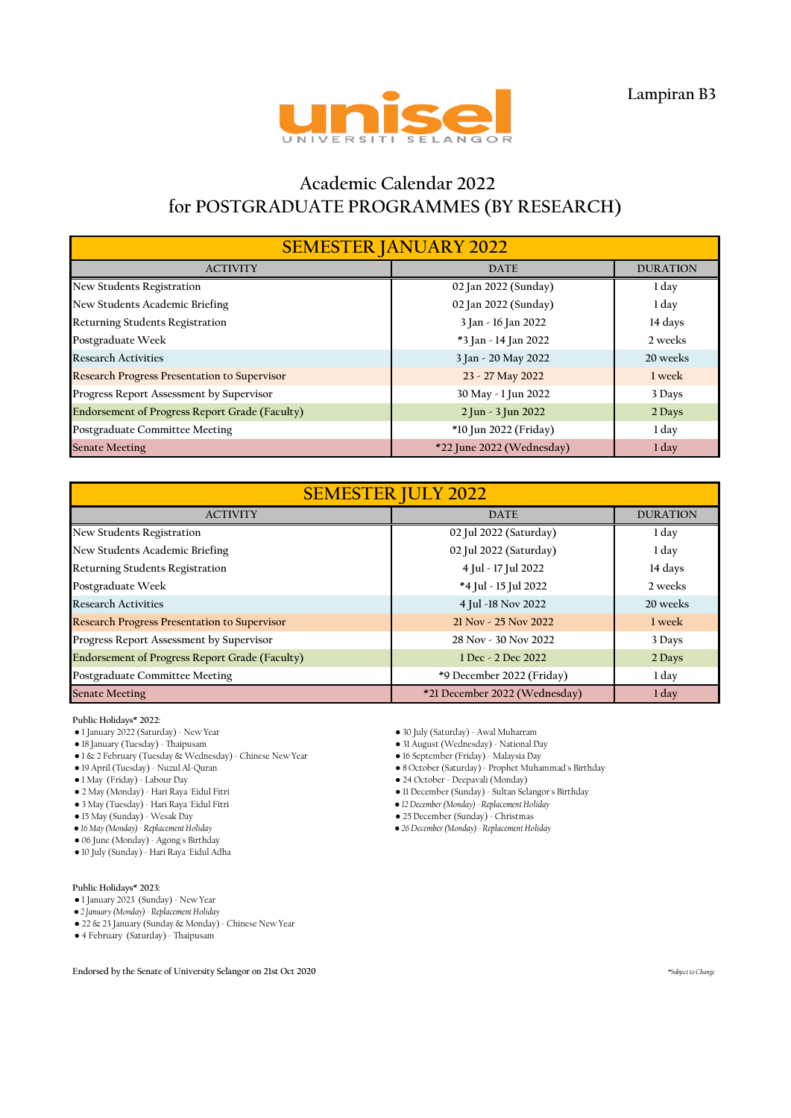

# **Academic Calendar 2022 for POSTGRADUATE PROGRAMMES (BY RESEARCH)**

| <b>SEMESTER JANUARY 2022</b>                          |                           |                 |  |
|-------------------------------------------------------|---------------------------|-----------------|--|
| <b>ACTIVITY</b>                                       | <b>DATE</b>               | <b>DURATION</b> |  |
| New Students Registration                             | 02 Jan 2022 (Sunday)      | 1 day           |  |
| New Students Academic Briefing                        | 02 Jan 2022 (Sunday)      | 1 day           |  |
| <b>Returning Students Registration</b>                | 3 Jan - 16 Jan 2022       | 14 days         |  |
| Postgraduate Week                                     | *3 Jan - 14 Jan 2022      | 2 weeks         |  |
| <b>Research Activities</b>                            | 3 Jan - 20 May 2022       | 20 weeks        |  |
| <b>Research Progress Presentation to Supervisor</b>   | 23 - 27 May 2022          | 1 week          |  |
| Progress Report Assessment by Supervisor              | 30 May - 1 Jun 2022       | 3 Days          |  |
| <b>Endorsement of Progress Report Grade (Faculty)</b> | 2 Jun - 3 Jun 2022        | 2 Days          |  |
| Postgraduate Committee Meeting                        | *10 Jun 2022 (Friday)     | 1 day           |  |
| <b>Senate Meeting</b>                                 | *22 June 2022 (Wednesday) | 1 day           |  |

| <b>SEMESTER JULY 2022</b>                           |                               |                 |  |
|-----------------------------------------------------|-------------------------------|-----------------|--|
| <b>ACTIVITY</b>                                     | <b>DATE</b>                   | <b>DURATION</b> |  |
| New Students Registration                           | 02 Jul 2022 (Saturday)        | 1 day           |  |
| New Students Academic Briefing                      | 02 Jul 2022 (Saturday)        | 1 day           |  |
| <b>Returning Students Registration</b>              | 4 Jul - 17 Jul 2022           | 14 days         |  |
| Postgraduate Week                                   | *4 Jul - 15 Jul 2022          | 2 weeks         |  |
| <b>Research Activities</b>                          | 4 Jul -18 Nov 2022            | 20 weeks        |  |
| <b>Research Progress Presentation to Supervisor</b> | 21 Nov - 25 Nov 2022          | 1 week          |  |
| Progress Report Assessment by Supervisor            | 28 Nov - 30 Nov 2022          | 3 Days          |  |
| Endorsement of Progress Report Grade (Faculty)      | 1 Dec - 2 Dec 2022            | 2 Days          |  |
| Postgraduate Committee Meeting                      | *9 December 2022 (Friday)     | 1 day           |  |
| <b>Senate Meeting</b>                               | *21 December 2022 (Wednesday) | 1 day           |  |

**Public Holidays\* 2022:**

- 1 January 2022 (Saturday) New Year 30 July (Saturday) Awal Muharram
- 
- 1 & 2 February (Tuesday & Wednesday) Chinese New Year 16 September (Friday) Malaysia Day
- 

- 
- 3 May (Tuesday) Hari Raya 'Eidul Fitri *● 12 December (Monday) Replacement Holiday*
- 
- 15 May (Sunday) Wesak Day <br>● 16 May (Monday) Replacement Holiday <br>● 26 December (Monday) Replacement Holiday <br>● 26 December (Monday) Replacement Ho
- 06 June (Monday) Agong's Birthday
- 10 July (Sunday) Hari Raya 'Eidul Adha
- **Public Holidays\* 2023:**
- 1 January 2023 (Sunday) New Year
- *● 2 January (Monday) Replacement Holiday*

● 22 & 23 January (Sunday & Monday) - Chinese New Year

● 4 February (Saturday) - Thaipusam

- 18 January (Tuesday) Thaipusam 31 August (Wednesday) National Day
	-
- 19 April (Tuesday) Nuzul Al-Quran 8 October (Saturday) Prophet Muhammad's Birthday
	- 24 October Deepavali (Monday)
- 2 May (Monday) Hari Raya 'Eidul Fitri 11 December (Sunday) Sultan Selangor's Birthday
	-
	-

*● 16 May (Monday) - Replacement Holiday ● 26 December (Monday) - Replacement Holiday*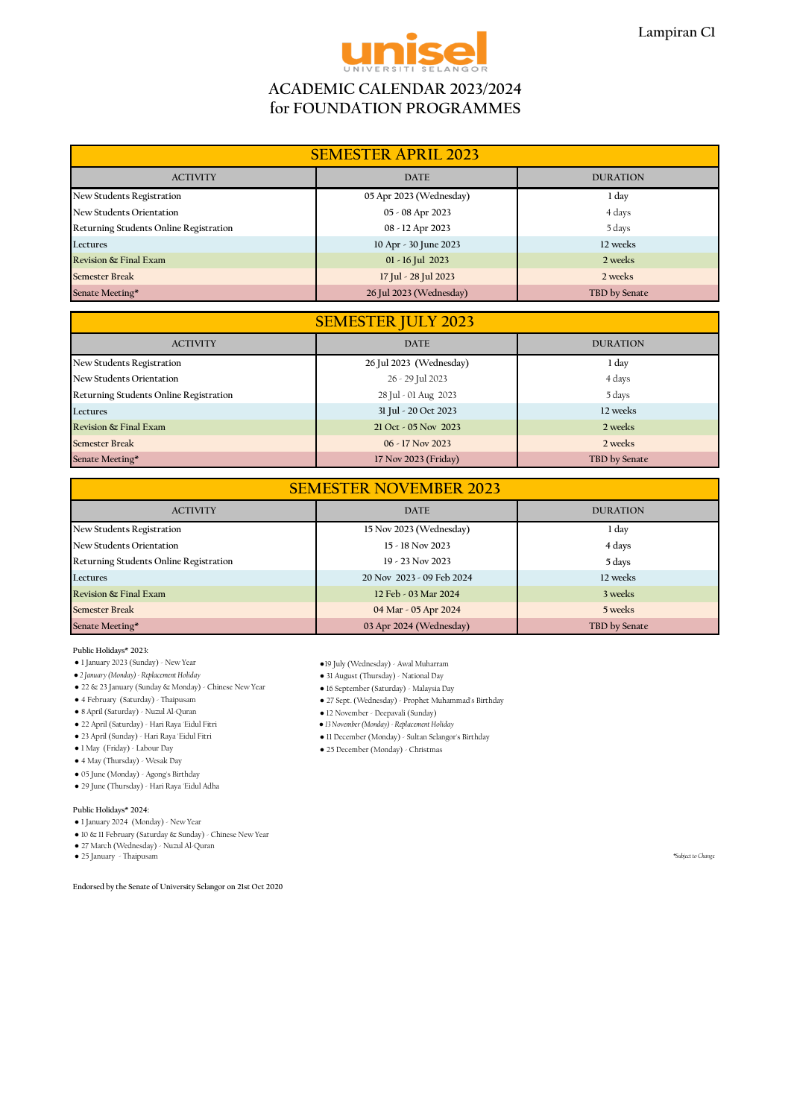

## **ACADEMIC CALENDAR 2023/2024 for FOUNDATION PROGRAMMES**

| <b>SEMESTER APRIL 2023</b>             |                         |                 |
|----------------------------------------|-------------------------|-----------------|
| <b>ACTIVITY</b>                        | <b>DATE</b>             | <b>DURATION</b> |
| New Students Registration              | 05 Apr 2023 (Wednesday) | 1 day           |
| <b>New Students Orientation</b>        | 05 - 08 Apr 2023        | 4 days          |
| Returning Students Online Registration | 08 - 12 Apr 2023        | 5 days          |
| Lectures                               | 10 Apr - 30 June 2023   | 12 weeks        |
| Revision & Final Exam                  | $01 - 16$ Jul 2023      | 2 weeks         |
| <b>Semester Break</b>                  | 17 Jul - 28 Jul 2023    | 2 weeks         |
| Senate Meeting*                        | 26 Jul 2023 (Wednesday) | TBD by Senate   |

| <b>SEMESTER JULY 2023</b>              |                         |                 |
|----------------------------------------|-------------------------|-----------------|
| <b>ACTIVITY</b>                        | <b>DATE</b>             | <b>DURATION</b> |
| New Students Registration              | 26 Jul 2023 (Wednesday) | 1 day           |
| New Students Orientation               | 26 - 29 Jul 2023        | 4 days          |
| Returning Students Online Registration | 28 Jul - 01 Aug 2023    | 5 days          |
| Lectures                               | 31 Jul - 20 Oct 2023    | 12 weeks        |
| Revision & Final Exam                  | 21 Oct - 05 Nov 2023    | 2 weeks         |
| <b>Semester Break</b>                  | $06 - 17$ Nov 2023      | 2 weeks         |
| Senate Meeting*                        | 17 Nov 2023 (Friday)    | TBD by Senate   |

| <b>SEMESTER NOVEMBER 2023</b>                     |                           |               |  |
|---------------------------------------------------|---------------------------|---------------|--|
| <b>DATE</b><br><b>DURATION</b><br><b>ACTIVITY</b> |                           |               |  |
| New Students Registration                         | 15 Nov 2023 (Wednesday)   | 1 day         |  |
| New Students Orientation                          | $15 - 18$ Nov 2023        | 4 days        |  |
| Returning Students Online Registration            | $19 - 23$ Nov 2023        | 5 days        |  |
| Lectures                                          | 20 Nov 2023 - 09 Feb 2024 | 12 weeks      |  |
| Revision & Final Exam                             | 12 Feb - 03 Mar 2024      | 3 weeks       |  |
| <b>Semester Break</b>                             | 04 Mar - 05 Apr 2024      | 5 weeks       |  |
| Senate Meeting*                                   | 03 Apr 2024 (Wednesday)   | TBD by Senate |  |

### **Public Holidays\* 2023:**

- 
- 1 January 2023 (Sunday) New Year ●19 July (Wednesday) Awal Muharram<br>● 2 January (Monday) Replacement Holiday 31 August (Thursday) National Day
- 22 & 23 January (Sunday & Monday) Chinese New Year 16 September (Saturday) Malaysia Day
- 
- 
- 
- 22 April (Saturday) Hari Raya 'Eidul Fitri *● 13 November (Monday) Replacement Holiday*
- 
- 4 May (Thursday) Wesak Day
- 05 June (Monday) Agong's Birthday
- 29 June (Thursday) Hari Raya 'Eidul Adha

#### **Public Holidays\* 2024:**

- 1 January 2024 (Monday) New Year
- 10 & 11 February (Saturday & Sunday) Chinese New Year
- 27 March (Wednesday) Nuzul Al-Quran
- 25 January Thaipusam *\*Subject to Change*

**Endorsed by the Senate of University Selangor on 21st Oct 2020**

- 
- 31 August (Thursday) National Day
- 
- 4 February (Saturday) Thaipusam 27 Sept. (Wednesday) Prophet Muhammad's Birthday
	-
	- 12 November Deepavali (Sunday)<br>● 13 November (Monday) Replacement Holiday
- 23 April (Sunday) Hari Raya 'Eidul Fitri 11 December (Monday) Sultan Selangor's Birthday
	- 25 December (Monday) Christmas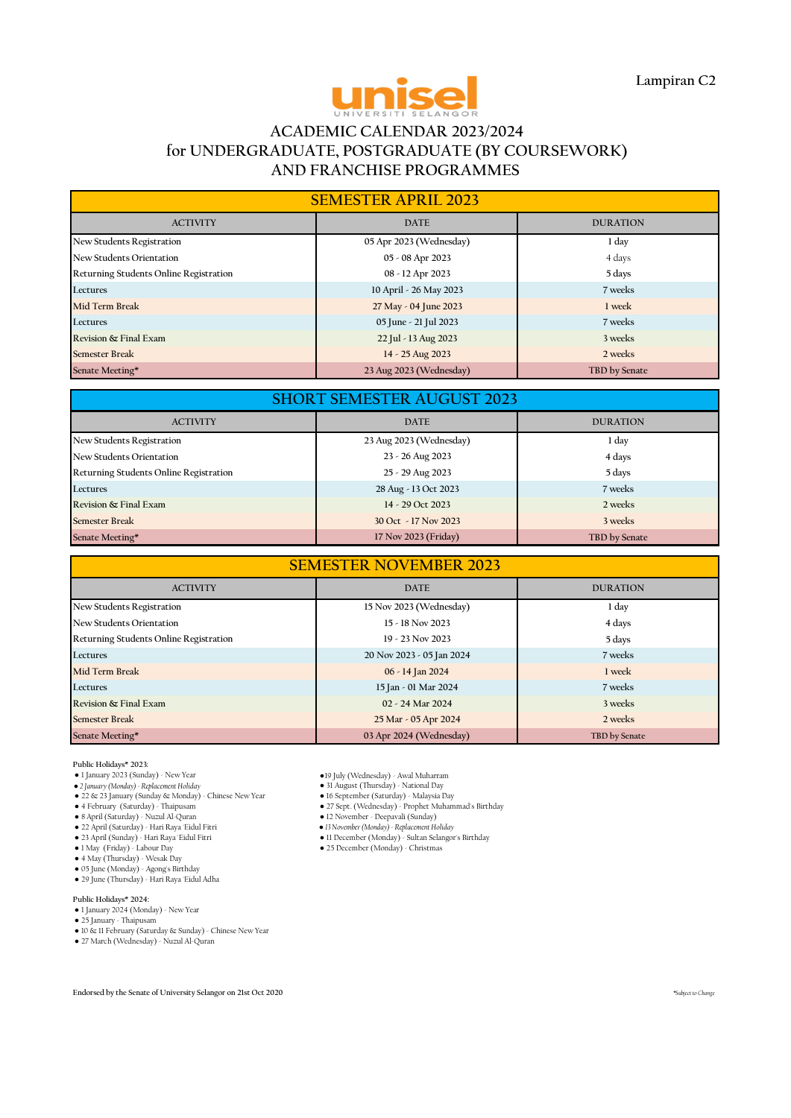

## **ACADEMIC CALENDAR 2023/2024 for UNDERGRADUATE, POSTGRADUATE (BY COURSEWORK) AND FRANCHISE PROGRAMMES**

| <b>SEMESTER APRIL 2023</b>             |                         |                 |  |
|----------------------------------------|-------------------------|-----------------|--|
| <b>ACTIVITY</b>                        | <b>DATE</b>             | <b>DURATION</b> |  |
| New Students Registration              | 05 Apr 2023 (Wednesday) | 1 day           |  |
| New Students Orientation               | 05 - 08 Apr 2023        | 4 days          |  |
| Returning Students Online Registration | 08 - 12 Apr 2023        | 5 days          |  |
| Lectures                               | 10 April - 26 May 2023  | 7 weeks         |  |
| Mid Term Break                         | 27 May - 04 June 2023   | 1 week          |  |
| Lectures                               | 05 June - 21 Jul 2023   | 7 weeks         |  |
| Revision & Final Exam                  | 22 Jul - 13 Aug 2023    | 3 weeks         |  |
| <b>Semester Break</b>                  | 14 - 25 Aug 2023        | 2 weeks         |  |
| Senate Meeting*                        | 23 Aug 2023 (Wednesday) | TBD by Senate   |  |

| <b>SHORT SEMESTER AUGUST 2023</b>                 |                         |               |  |
|---------------------------------------------------|-------------------------|---------------|--|
| <b>DATE</b><br><b>ACTIVITY</b><br><b>DURATION</b> |                         |               |  |
| New Students Registration                         | 23 Aug 2023 (Wednesday) | 1 day         |  |
| New Students Orientation                          | 23 - 26 Aug 2023        | 4 days        |  |
| Returning Students Online Registration            | 25 - 29 Aug 2023        | 5 days        |  |
| Lectures                                          | 28 Aug - 13 Oct 2023    | 7 weeks       |  |
| Revision & Final Exam                             | 14 - 29 Oct 2023        | 2 weeks       |  |
| <b>Semester Break</b>                             | 30 Oct - 17 Nov 2023    | 3 weeks       |  |
| Senate Meeting*                                   | 17 Nov 2023 (Friday)    | TBD by Senate |  |

| <b>SEMESTER NOVEMBER 2023</b>                 |                           |                 |  |
|-----------------------------------------------|---------------------------|-----------------|--|
| <b>ACTIVITY</b>                               | <b>DATE</b>               | <b>DURATION</b> |  |
| New Students Registration                     | 15 Nov 2023 (Wednesday)   | 1 day           |  |
| New Students Orientation                      | 15 - 18 Nov 2023          | 4 days          |  |
| <b>Returning Students Online Registration</b> | $19 - 23$ Nov 2023        | 5 days          |  |
| Lectures                                      | 20 Nov 2023 - 05 Jan 2024 | 7 weeks         |  |
| Mid Term Break                                | 06 - 14 Jan 2024          | 1 week          |  |
| Lectures                                      | 15 Jan - 01 Mar 2024      | 7 weeks         |  |
| Revision & Final Exam                         | 02 - 24 Mar 2024          | 3 weeks         |  |
| <b>Semester Break</b>                         | 25 Mar - 05 Apr 2024      | 2 weeks         |  |
| Senate Meeting*                               | 03 Apr 2024 (Wednesday)   | TBD by Senate   |  |

- **Public Holidays\* 2023:**
- 1 January 2023 (Sunday) New Year ●19 July (Wednesday) Awal Muharram
- 
- 
- 
- 
- 
- 
- 1 May (Friday) Labour Day 25 December (Monday) Christmas 4 May (Thursday) Wesak Day 05 June (Monday) Agong's Birthday
- 29 June (Thursday) Hari Raya 'Eidul Adha

## **Public Holidays\* 2024:**

- 1 January 2024 (Monday) New Year
- 25 January Thaipusam
- 
- 10 & 11 February (Saturday & Sunday) Chinese New Year 27 March (Wednesday) Nuzul Al-Quran
- 
- 
- 23 January (Monday) Awal Muniarian<br>
31 August (Thursday) National Day<br>
36 September (Saturday) Malaysia Day<br>
27 Sept. (Wednesday) Prophet Muhammad's Birthday<br>
12 November Deepavali (Sunday) • 22 & 23 January (Sunday & Monday) - Chinese New Year • 16 September (Saturday) - Malaysia Day<br>• 4 February (Saturday) - Thaipusam • 27 Sept. (Wednesday) - Prophet Muhammad's Birthday<br>• 8 April (Saturday) - Nuzul Al-Quran
	-
- 22 April (Saturday) Hari Raya 'Eidul Fitri *● 13 November (Monday) Replacement Holiday*
	- 11 December (Monday) Sultan Selangor's Birthday
	-
	-